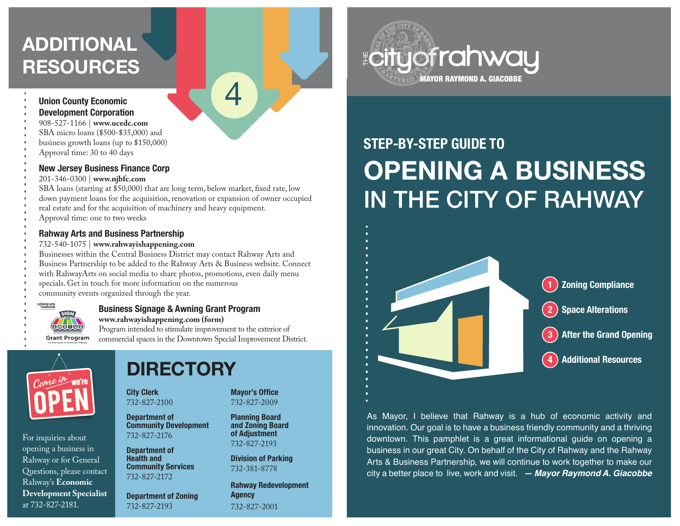# **ADDITIONAL RESOURCES**

#### **Union County Economic**

- **Development Corporation**
- 908-527-1166 | **www.ucedc.com**
- SBA micro loans (\$500-\$35,000) and
- business growth loans (up to \$150,000)
- Approval time: 30 to 40 days

### **New Jersey Business Finance Corp**

- 201-346-0300 | **www.njbfc.com**
- SBA loans (starting at \$50,000) that are long term, below market, fixed rate, low
- down payment loans for the acquisition, renovation or expansion of owner occupied

4

- real estate and for the acquisition of machinery and heavy equipment.
- Approval time: one to two weeks

### **Rahway Arts and Business Partnership**

- 732-540-1075 | **www.rahwayishappening.com**
- Businesses within the Central Business District may contact Rahway Arts and Business Partnership to be added to the Rahway Arts & Business website. Connect with RahwayArts on social media to share photos, promotions, even daily menu specials. Get in touch for more information on the numerous community events organized through the year.



#### **Business Signage & Awning Grant Program www.rahwayishappening.com (form)**

Program intended to stimulate improvement to the exterior of commercial spaces in the Downtown Special Improvement District.



For inquiries about opening a business in Rahway or for General Questions, please contact Rahway's **Economic Development Specialist** at 732-827-2181.

# **DIRECTORY**

**City Clerk** 732-827-2100

**Department of Community Development** 732-827-2176

**Department of Health and Community Services** 732-827-2172

**Department of Zoning** 732-827-2193

#### **Mayor's Office** 732-827-2009

**Planning Board and Zoning Board of Adjustment** 732-827-2193

**Division of Parking** 732-381-8778

**Rahway Redevelopment Agency** 732-827-2001



# **STEP-BY-STEP GUIDE TO OPENING A BUSINESS**  IN THE CITY OF RAHWAY



As Mayor, I believe that Rahway is a hub of economic activity and innovation. Our goal is to have a business friendly community and a thriving downtown. This pamphlet is a great informational guide on opening a business in our great City. On behalf of the City of Rahway and the Rahway Arts & Business Partnership, we will continue to work together to make our city a better place to live, work and visit. *— Mayor Raymond A. Giacobbe*